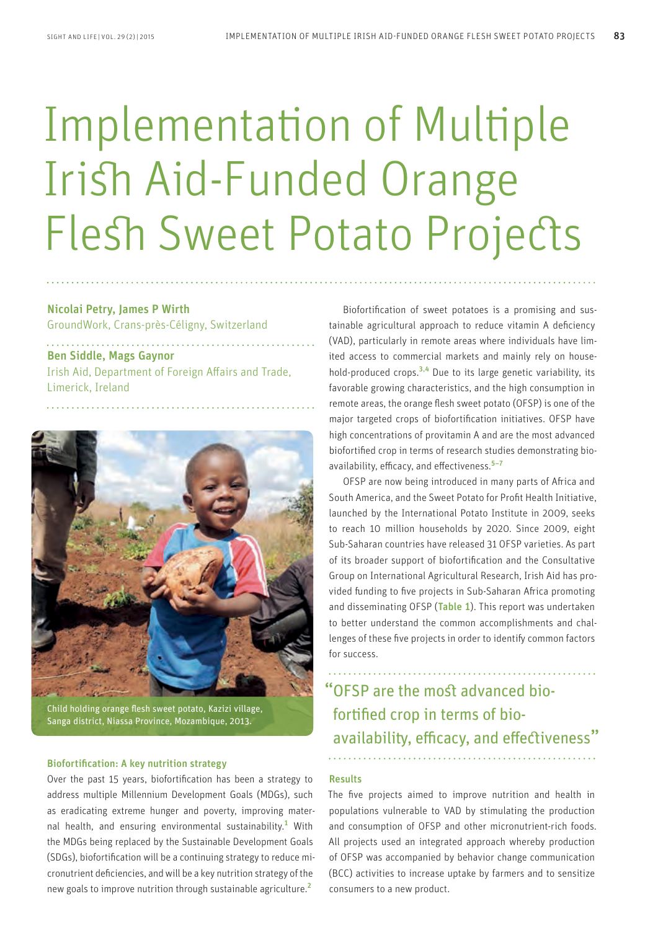# Implementation of Multiple Irish Aid-Funded Orange Flesh Sweet Potato Projects

Nicolai Petry, James P Wirth GroundWork, Crans-près-Céligny, Switzerland

Ben Siddle, Mags Gaynor Irish Aid, Department of Foreign Affairs and Trade, Limerick, Ireland



Child holding orange flesh sweet potato, Kazizi village, Sanga district, Niassa Province, Mozambique, 2013.

# Biofortification: A key nutrition strategy

Over the past 15 years, biofortification has been a strategy to address multiple Millennium Development Goals (MDGs), such as eradicating extreme hunger and poverty, improving maternal health, and ensuring environmental sustainability.<sup>1</sup> With the MDGs being replaced by the Sustainable Development Goals (SDGs), biofortification will be a continuing strategy to reduce micronutrient deficiencies, and will be a key nutrition strategy of the new goals to improve nutrition through sustainable agriculture.<sup>2</sup>

Biofortification of sweet potatoes is a promising and sustainable agricultural approach to reduce vitamin A deficiency (VAD), particularly in remote areas where individuals have limited access to commercial markets and mainly rely on household-produced crops. $3,4$  Due to its large genetic variability, its favorable growing characteristics, and the high consumption in remote areas, the orange flesh sweet potato (OFSP) is one of the major targeted crops of biofortification initiatives. OFSP have high concentrations of provitamin A and are the most advanced biofortified crop in terms of research studies demonstrating bioavailability, efficacy, and effectiveness.<sup>5-7</sup>

OFSP are now being introduced in many parts of Africa and South America, and the Sweet Potato for Profit Health Initiative, launched by the International Potato Institute in 2009, seeks to reach 10 million households by 2020. Since 2009, eight Sub-Saharan countries have released 31 OFSP varieties. As part of its broader support of biofortification and the Consultative Group on International Agricultural Research, Irish Aid has provided funding to five projects in Sub-Saharan Africa promoting and disseminating OFSP (Table 1). This report was undertaken to better understand the common accomplishments and challenges of these five projects in order to identify common factors for success.

# "OFSP are the most advanced biofortified crop in terms of bioavailability, efficacy, and effectiveness"

# Results

The five projects aimed to improve nutrition and health in populations vulnerable to VAD by stimulating the production and consumption of OFSP and other micronutrient-rich foods. All projects used an integrated approach whereby production of OFSP was accompanied by behavior change communication (BCC) activities to increase uptake by farmers and to sensitize consumers to a new product.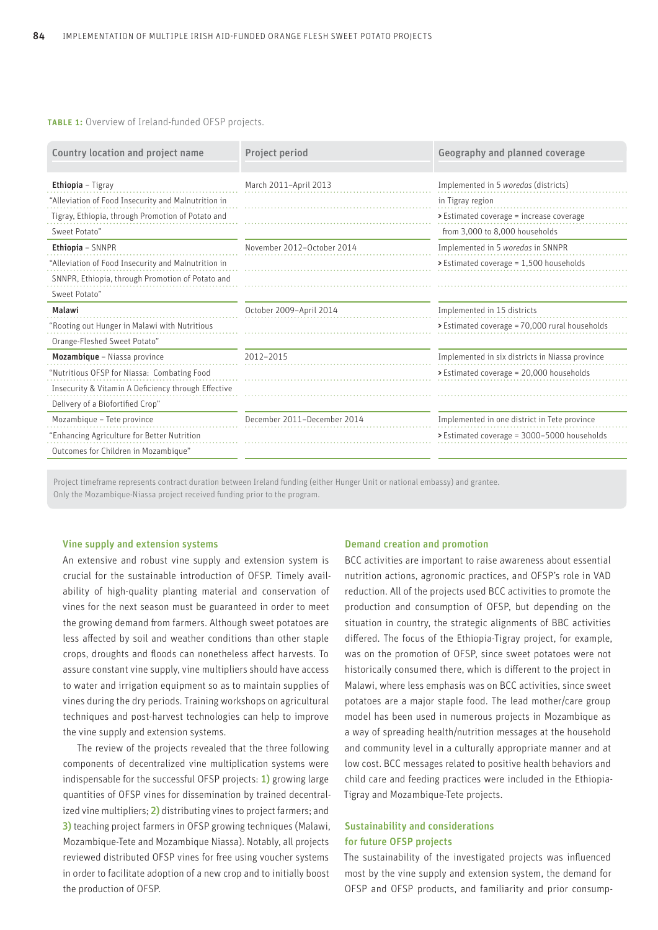**TABLE 1:** Overview of Ireland-funded OFSP projects.

| Country location and project name                   | Project period              | Geography and planned coverage                  |
|-----------------------------------------------------|-----------------------------|-------------------------------------------------|
| <b>Ethiopia</b> – Tigray                            | March 2011-April 2013       | Implemented in 5 woredas (districts)            |
| "Alleviation of Food Insecurity and Malnutrition in |                             | in Tigray region                                |
| Tigray, Ethiopia, through Promotion of Potato and   |                             | > Estimated coverage = increase coverage        |
| Sweet Potato"                                       |                             | from 3,000 to 8,000 households                  |
| Ethiopia - SNNPR                                    | November 2012-October 2014  | Implemented in 5 woredas in SNNPR               |
| "Alleviation of Food Insecurity and Malnutrition in |                             | > Estimated coverage = 1,500 households         |
| SNNPR, Ethiopia, through Promotion of Potato and    |                             |                                                 |
| Sweet Potato"                                       |                             |                                                 |
| Malawi                                              | October 2009-April 2014     | Implemented in 15 districts                     |
| "Rooting out Hunger in Malawi with Nutritious       |                             | > Estimated coverage = 70,000 rural households  |
| Orange-Fleshed Sweet Potato"                        |                             |                                                 |
| Mozambique - Niassa province                        | 2012-2015                   | Implemented in six districts in Niassa province |
| "Nutritious OFSP for Niassa: Combating Food         |                             | > Estimated coverage = 20,000 households        |
| Insecurity & Vitamin A Deficiency through Effective |                             |                                                 |
| Delivery of a Biofortified Crop"                    |                             |                                                 |
| Mozambique - Tete province                          | December 2011-December 2014 | Implemented in one district in Tete province    |
| "Enhancing Agriculture for Better Nutrition         |                             | > Estimated coverage = 3000-5000 households     |
| Outcomes for Children in Mozambique"                |                             |                                                 |

Project timeframe represents contract duration between Ireland funding (either Hunger Unit or national embassy) and grantee. Only the Mozambique-Niassa project received funding prior to the program.

## Vine supply and extension systems

An extensive and robust vine supply and extension system is crucial for the sustainable introduction of OFSP. Timely availability of high-quality planting material and conservation of vines for the next season must be guaranteed in order to meet the growing demand from farmers. Although sweet potatoes are less affected by soil and weather conditions than other staple crops, droughts and floods can nonetheless affect harvests. To assure constant vine supply, vine multipliers should have access to water and irrigation equipment so as to maintain supplies of vines during the dry periods. Training workshops on agricultural techniques and post-harvest technologies can help to improve the vine supply and extension systems.

The review of the projects revealed that the three following components of decentralized vine multiplication systems were indispensable for the successful OFSP projects: 1) growing large quantities of OFSP vines for dissemination by trained decentralized vine multipliers; 2) distributing vines to project farmers; and 3) teaching project farmers in OFSP growing techniques (Malawi, Mozambique-Tete and Mozambique Niassa). Notably, all projects reviewed distributed OFSP vines for free using voucher systems in order to facilitate adoption of a new crop and to initially boost the production of OFSP.

#### Demand creation and promotion

BCC activities are important to raise awareness about essential nutrition actions, agronomic practices, and OFSP's role in VAD reduction. All of the projects used BCC activities to promote the production and consumption of OFSP, but depending on the situation in country, the strategic alignments of BBC activities differed. The focus of the Ethiopia-Tigray project, for example, was on the promotion of OFSP, since sweet potatoes were not historically consumed there, which is different to the project in Malawi, where less emphasis was on BCC activities, since sweet potatoes are a major staple food. The lead mother/care group model has been used in numerous projects in Mozambique as a way of spreading health/nutrition messages at the household and community level in a culturally appropriate manner and at low cost. BCC messages related to positive health behaviors and child care and feeding practices were included in the Ethiopia-Tigray and Mozambique-Tete projects.

# Sustainability and considerations for future OFSP projects

The sustainability of the investigated projects was influenced most by the vine supply and extension system, the demand for OFSP and OFSP products, and familiarity and prior consump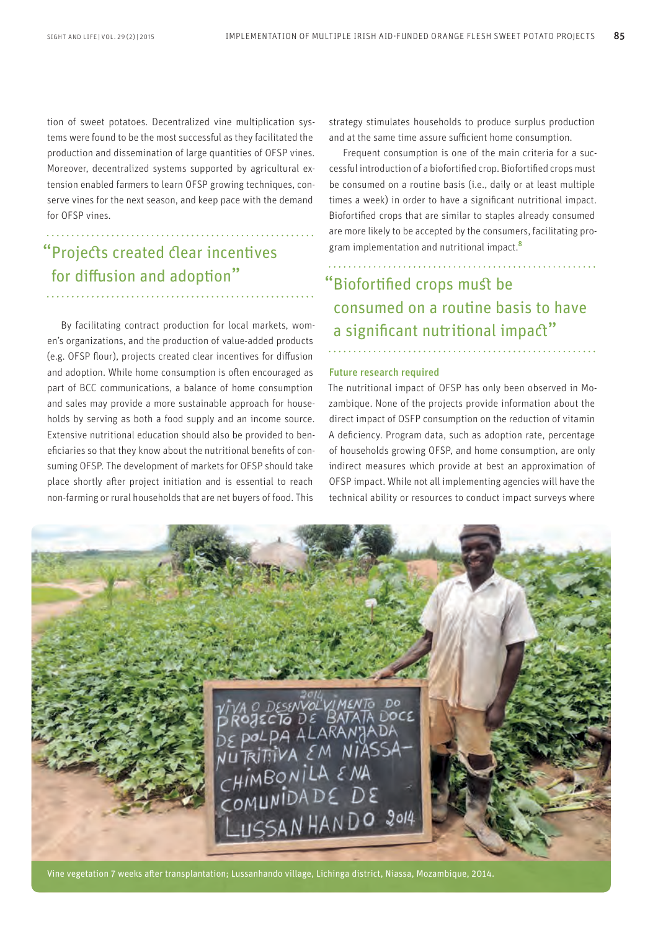tion of sweet potatoes. Decentralized vine multiplication systems were found to be the most successful as they facilitated the production and dissemination of large quantities of OFSP vines. Moreover, decentralized systems supported by agricultural extension enabled farmers to learn OFSP growing techniques, conserve vines for the next season, and keep pace with the demand for OFSP vines.

# "Projects created clear incentives for diffusion and adoption"

By facilitating contract production for local markets, women's organizations, and the production of value-added products (e.g. OFSP flour), projects created clear incentives for diffusion and adoption. While home consumption is often encouraged as part of BCC communications, a balance of home consumption and sales may provide a more sustainable approach for households by serving as both a food supply and an income source. Extensive nutritional education should also be provided to beneficiaries so that they know about the nutritional benefits of consuming OFSP. The development of markets for OFSP should take place shortly after project initiation and is essential to reach non-farming or rural households that are net buyers of food. This

strategy stimulates households to produce surplus production and at the same time assure sufficient home consumption.

Frequent consumption is one of the main criteria for a successful introduction of a biofortified crop. Biofortified crops must be consumed on a routine basis (i.e., daily or at least multiple times a week) in order to have a significant nutritional impact. Biofortified crops that are similar to staples already consumed are more likely to be accepted by the consumers, facilitating program implementation and nutritional impact.<sup>8</sup>

"Biofortified crops must be consumed on a routine basis to have a significant nutritional impact"

## Future research required

The nutritional impact of OFSP has only been observed in Mozambique. None of the projects provide information about the direct impact of OSFP consumption on the reduction of vitamin A deficiency. Program data, such as adoption rate, percentage of households growing OFSP, and home consumption, are only indirect measures which provide at best an approximation of OFSP impact. While not all implementing agencies will have the technical ability or resources to conduct impact surveys where



Vine vegetation 7 weeks after transplantation; Lussanhando village, Lichinga district, Niassa, Mozambique, 2014.